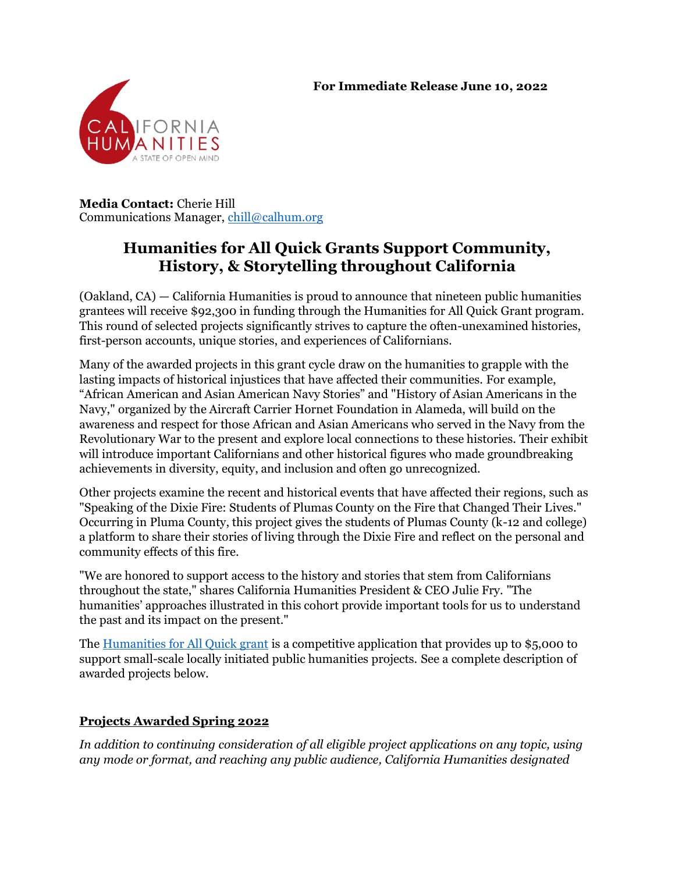#### **For Immediate Release June 10, 2022**



**Media Contact:** Cherie Hill Communications Manager, [chill@calhum.org](mailto:chill@calhum.org)

# **Humanities for All Quick Grants Support Community, History, & Storytelling throughout California**

(Oakland, CA) — California Humanities is proud to announce that nineteen public humanities grantees will receive \$92,300 in funding through the Humanities for All Quick Grant program. This round of selected projects significantly strives to capture the often-unexamined histories, first-person accounts, unique stories, and experiences of Californians.

Many of the awarded projects in this grant cycle draw on the humanities to grapple with the lasting impacts of historical injustices that have affected their communities. For example, "African American and Asian American Navy Stories" and "History of Asian Americans in the Navy," organized by the Aircraft Carrier Hornet Foundation in Alameda, will build on the awareness and respect for those African and Asian Americans who served in the Navy from the Revolutionary War to the present and explore local connections to these histories. Their exhibit will introduce important Californians and other historical figures who made groundbreaking achievements in diversity, equity, and inclusion and often go unrecognized.

Other projects examine the recent and historical events that have affected their regions, such as "Speaking of the Dixie Fire: Students of Plumas County on the Fire that Changed Their Lives." Occurring in Pluma County, this project gives the students of Plumas County (k-12 and college) a platform to share their stories of living through the Dixie Fire and reflect on the personal and community effects of this fire.

"We are honored to support access to the history and stories that stem from Californians throughout the state," shares California Humanities President & CEO Julie Fry. "The humanities' approaches illustrated in this cohort provide important tools for us to understand the past and its impact on the present."

The [Humanities for All Quick grant](https://calhum.org/humanities-for-all/) is a competitive application that provides up to \$5,000 to support small-scale locally initiated public humanities projects. See a complete description of awarded projects below.

# **Projects Awarded Spring 2022**

*In addition to continuing consideration of all eligible project applications on any topic, using any mode or format, and reaching any public audience, California Humanities designated*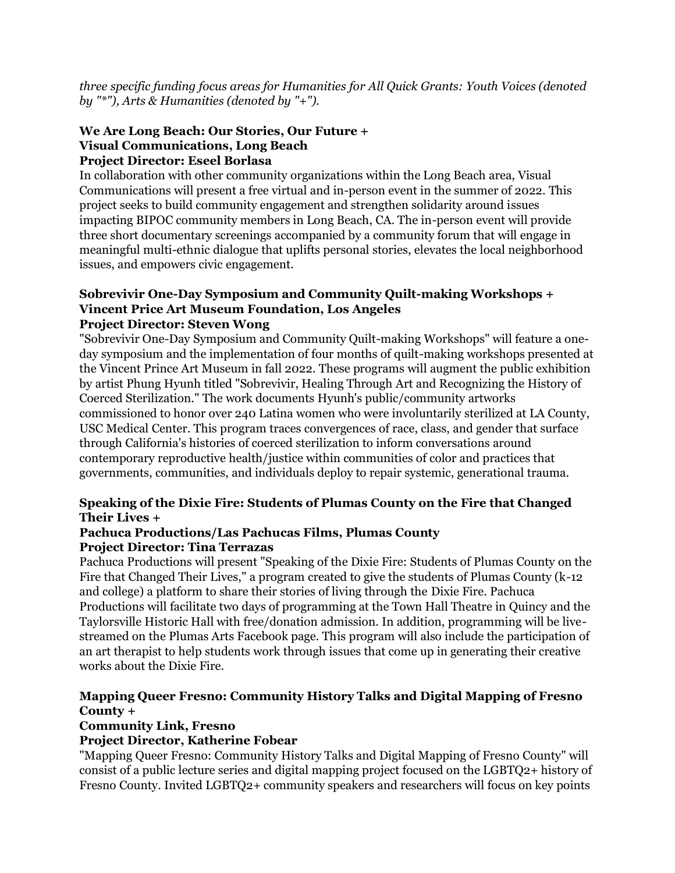*three specific funding focus areas for Humanities for All Quick Grants: Youth Voices (denoted by "\*"), Arts & Humanities (denoted by "+").*

#### **We Are Long Beach: Our Stories, Our Future + Visual Communications, Long Beach Project Director: Eseel Borlasa**

In collaboration with other community organizations within the Long Beach area, Visual Communications will present a free virtual and in-person event in the summer of 2022. This project seeks to build community engagement and strengthen solidarity around issues impacting BIPOC community members in Long Beach, CA. The in-person event will provide three short documentary screenings accompanied by a community forum that will engage in meaningful multi-ethnic dialogue that uplifts personal stories, elevates the local neighborhood issues, and empowers civic engagement.

#### **Sobrevivir One-Day Symposium and Community Quilt-making Workshops + Vincent Price Art Museum Foundation, Los Angeles Project Director: Steven Wong**

"Sobrevivir One-Day Symposium and Community Quilt-making Workshops" will feature a oneday symposium and the implementation of four months of quilt-making workshops presented at the Vincent Prince Art Museum in fall 2022. These programs will augment the public exhibition by artist Phung Hyunh titled "Sobrevivir, Healing Through Art and Recognizing the History of Coerced Sterilization." The work documents Hyunh's public/community artworks commissioned to honor over 240 Latina women who were involuntarily sterilized at LA County, USC Medical Center. This program traces convergences of race, class, and gender that surface through California's histories of coerced sterilization to inform conversations around contemporary reproductive health/justice within communities of color and practices that governments, communities, and individuals deploy to repair systemic, generational trauma.

### **Speaking of the Dixie Fire: Students of Plumas County on the Fire that Changed Their Lives +**

#### **Pachuca Productions/Las Pachucas Films, Plumas County Project Director: Tina Terrazas**

Pachuca Productions will present "Speaking of the Dixie Fire: Students of Plumas County on the Fire that Changed Their Lives," a program created to give the students of Plumas County (k-12 and college) a platform to share their stories of living through the Dixie Fire. Pachuca Productions will facilitate two days of programming at the Town Hall Theatre in Quincy and the Taylorsville Historic Hall with free/donation admission. In addition, programming will be livestreamed on the Plumas Arts Facebook page. This program will also include the participation of an art therapist to help students work through issues that come up in generating their creative works about the Dixie Fire.

# **Mapping Queer Fresno: Community History Talks and Digital Mapping of Fresno County +**

#### **Community Link, Fresno**

# **Project Director, Katherine Fobear**

"Mapping Queer Fresno: Community History Talks and Digital Mapping of Fresno County" will consist of a public lecture series and digital mapping project focused on the LGBTQ2+ history of Fresno County. Invited LGBTQ2+ community speakers and researchers will focus on key points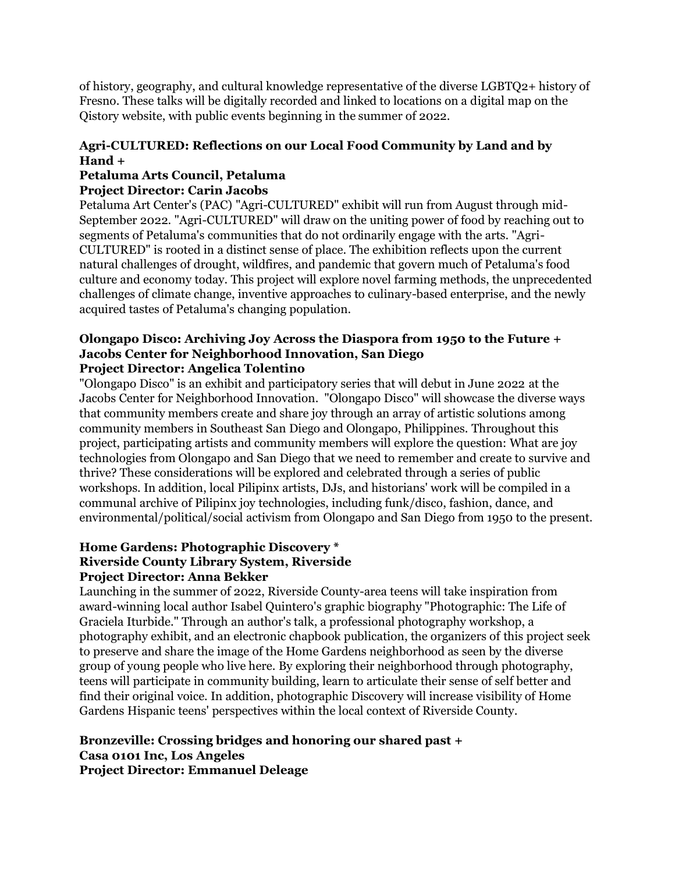of history, geography, and cultural knowledge representative of the diverse LGBTQ2+ history of Fresno. These talks will be digitally recorded and linked to locations on a digital map on the Qistory website, with public events beginning in the summer of 2022.

# **Agri-CULTURED: Reflections on our Local Food Community by Land and by Hand +**

# **Petaluma Arts Council, Petaluma**

#### **Project Director: Carin Jacobs**

Petaluma Art Center's (PAC) "Agri-CULTURED" exhibit will run from August through mid-September 2022. "Agri-CULTURED" will draw on the uniting power of food by reaching out to segments of Petaluma's communities that do not ordinarily engage with the arts. "Agri-CULTURED" is rooted in a distinct sense of place. The exhibition reflects upon the current natural challenges of drought, wildfires, and pandemic that govern much of Petaluma's food culture and economy today. This project will explore novel farming methods, the unprecedented challenges of climate change, inventive approaches to culinary-based enterprise, and the newly acquired tastes of Petaluma's changing population.

#### **Olongapo Disco: Archiving Joy Across the Diaspora from 1950 to the Future + Jacobs Center for Neighborhood Innovation, San Diego Project Director: Angelica Tolentino**

"Olongapo Disco" is an exhibit and participatory series that will debut in June 2022 at the Jacobs Center for Neighborhood Innovation. "Olongapo Disco" will showcase the diverse ways that community members create and share joy through an array of artistic solutions among community members in Southeast San Diego and Olongapo, Philippines. Throughout this project, participating artists and community members will explore the question: What are joy technologies from Olongapo and San Diego that we need to remember and create to survive and thrive? These considerations will be explored and celebrated through a series of public workshops. In addition, local Pilipinx artists, DJs, and historians' work will be compiled in a communal archive of Pilipinx joy technologies, including funk/disco, fashion, dance, and environmental/political/social activism from Olongapo and San Diego from 1950 to the present.

#### **Home Gardens: Photographic Discovery \* Riverside County Library System, Riverside Project Director: Anna Bekker**

Launching in the summer of 2022, Riverside County-area teens will take inspiration from award-winning local author Isabel Quintero's graphic biography "Photographic: The Life of Graciela Iturbide." Through an author's talk, a professional photography workshop, a photography exhibit, and an electronic chapbook publication, the organizers of this project seek to preserve and share the image of the Home Gardens neighborhood as seen by the diverse group of young people who live here. By exploring their neighborhood through photography, teens will participate in community building, learn to articulate their sense of self better and find their original voice. In addition, photographic Discovery will increase visibility of Home Gardens Hispanic teens' perspectives within the local context of Riverside County.

#### **Bronzeville: Crossing bridges and honoring our shared past + Casa 0101 Inc, Los Angeles Project Director: Emmanuel Deleage**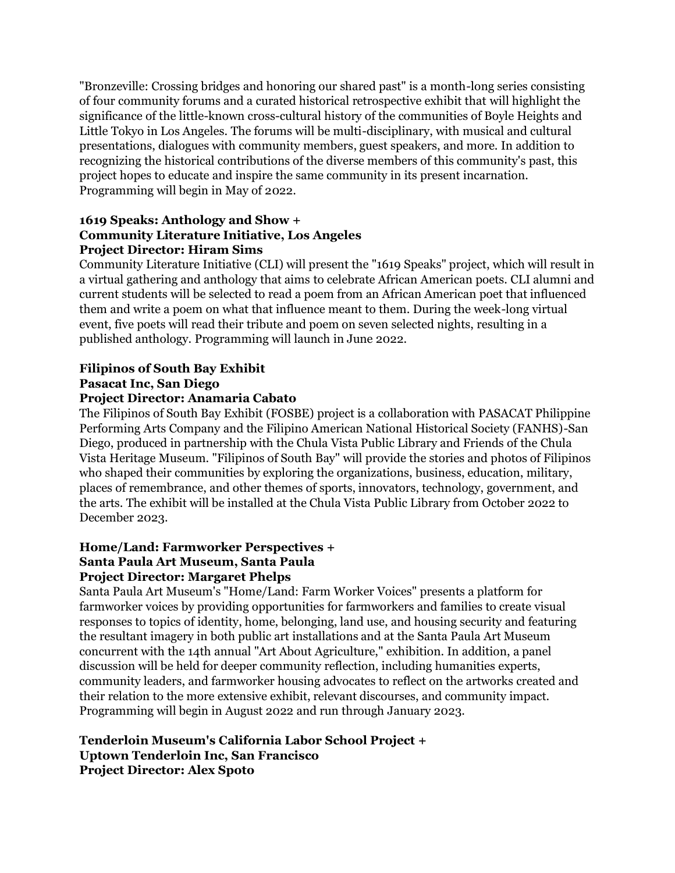"Bronzeville: Crossing bridges and honoring our shared past" is a month-long series consisting of four community forums and a curated historical retrospective exhibit that will highlight the significance of the little-known cross-cultural history of the communities of Boyle Heights and Little Tokyo in Los Angeles. The forums will be multi-disciplinary, with musical and cultural presentations, dialogues with community members, guest speakers, and more. In addition to recognizing the historical contributions of the diverse members of this community's past, this project hopes to educate and inspire the same community in its present incarnation. Programming will begin in May of 2022.

### **1619 Speaks: Anthology and Show + Community Literature Initiative, Los Angeles Project Director: Hiram Sims**

Community Literature Initiative (CLI) will present the "1619 Speaks" project, which will result in a virtual gathering and anthology that aims to celebrate African American poets. CLI alumni and current students will be selected to read a poem from an African American poet that influenced them and write a poem on what that influence meant to them. During the week-long virtual event, five poets will read their tribute and poem on seven selected nights, resulting in a published anthology. Programming will launch in June 2022.

# **Filipinos of South Bay Exhibit Pasacat Inc, San Diego**

### **Project Director: Anamaria Cabato**

The Filipinos of South Bay Exhibit (FOSBE) project is a collaboration with PASACAT Philippine Performing Arts Company and the Filipino American National Historical Society (FANHS)-San Diego, produced in partnership with the Chula Vista Public Library and Friends of the Chula Vista Heritage Museum. "Filipinos of South Bay" will provide the stories and photos of Filipinos who shaped their communities by exploring the organizations, business, education, military, places of remembrance, and other themes of sports, innovators, technology, government, and the arts. The exhibit will be installed at the Chula Vista Public Library from October 2022 to December 2023.

# **Home/Land: Farmworker Perspectives + Santa Paula Art Museum, Santa Paula Project Director: Margaret Phelps**

Santa Paula Art Museum's "Home/Land: Farm Worker Voices" presents a platform for farmworker voices by providing opportunities for farmworkers and families to create visual responses to topics of identity, home, belonging, land use, and housing security and featuring the resultant imagery in both public art installations and at the Santa Paula Art Museum concurrent with the 14th annual "Art About Agriculture," exhibition. In addition, a panel discussion will be held for deeper community reflection, including humanities experts, community leaders, and farmworker housing advocates to reflect on the artworks created and their relation to the more extensive exhibit, relevant discourses, and community impact. Programming will begin in August 2022 and run through January 2023.

### **Tenderloin Museum's California Labor School Project + Uptown Tenderloin Inc, San Francisco Project Director: Alex Spoto**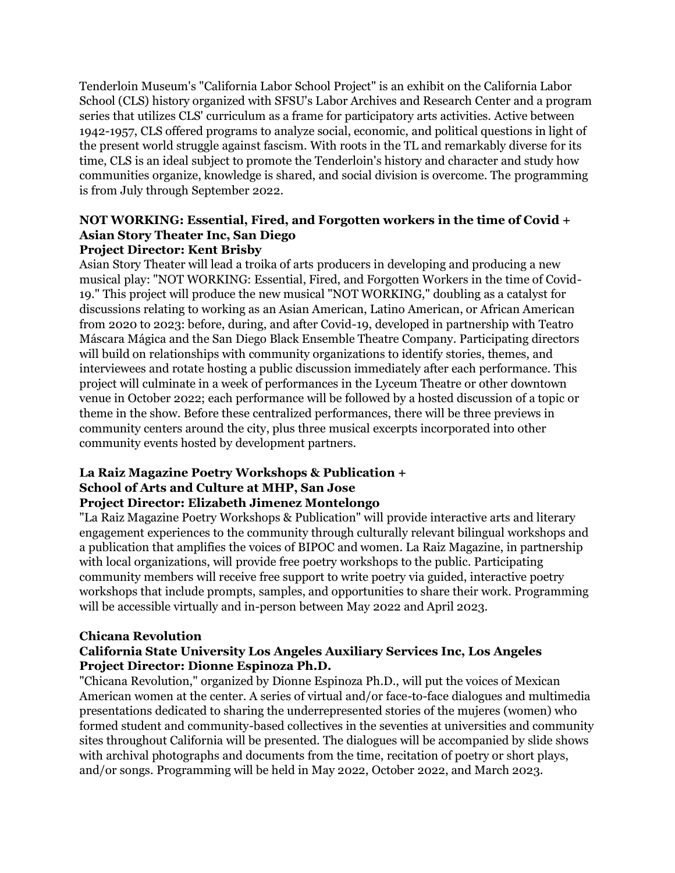Tenderloin Museum's "California Labor School Project" is an exhibit on the California Labor School (CLS) history organized with SFSU's Labor Archives and Research Center and a program series that utilizes CLS' curriculum as a frame for participatory arts activities. Active between 1942-1957, CLS offered programs to analyze social, economic, and political questions in light of the present world struggle against fascism. With roots in the TL and remarkably diverse for its time, CLS is an ideal subject to promote the Tenderloin's history and character and study how communities organize, knowledge is shared, and social division is overcome. The programming is from July through September 2022.

#### **NOT WORKING: Essential, Fired, and Forgotten workers in the time of Covid + Asian Story Theater Inc, San Diego Project Director: Kent Brisby**

Asian Story Theater will lead a troika of arts producers in developing and producing a new musical play: "NOT WORKING: Essential, Fired, and Forgotten Workers in the time of Covid-19." This project will produce the new musical "NOT WORKING," doubling as a catalyst for discussions relating to working as an Asian American, Latino American, or African American from 2020 to 2023: before, during, and after Covid-19, developed in partnership with Teatro Máscara Mágica and the San Diego Black Ensemble Theatre Company. Participating directors will build on relationships with community organizations to identify stories, themes, and interviewees and rotate hosting a public discussion immediately after each performance. This project will culminate in a week of performances in the Lyceum Theatre or other downtown venue in October 2022; each performance will be followed by a hosted discussion of a topic or theme in the show. Before these centralized performances, there will be three previews in community centers around the city, plus three musical excerpts incorporated into other community events hosted by development partners.

# **La Raiz Magazine Poetry Workshops & Publication + School of Arts and Culture at MHP, San Jose**

# **Project Director: Elizabeth Jimenez Montelongo**

"La Raiz Magazine Poetry Workshops & Publication" will provide interactive arts and literary engagement experiences to the community through culturally relevant bilingual workshops and a publication that amplifies the voices of BIPOC and women. La Raiz Magazine, in partnership with local organizations, will provide free poetry workshops to the public. Participating community members will receive free support to write poetry via guided, interactive poetry workshops that include prompts, samples, and opportunities to share their work. Programming will be accessible virtually and in-person between May 2022 and April 2023.

# **Chicana Revolution**

### **California State University Los Angeles Auxiliary Services Inc, Los Angeles Project Director: Dionne Espinoza Ph.D.**

"Chicana Revolution," organized by Dionne Espinoza Ph.D., will put the voices of Mexican American women at the center. A series of virtual and/or face-to-face dialogues and multimedia presentations dedicated to sharing the underrepresented stories of the mujeres (women) who formed student and community-based collectives in the seventies at universities and community sites throughout California will be presented. The dialogues will be accompanied by slide shows with archival photographs and documents from the time, recitation of poetry or short plays, and/or songs. Programming will be held in May 2022, October 2022, and March 2023.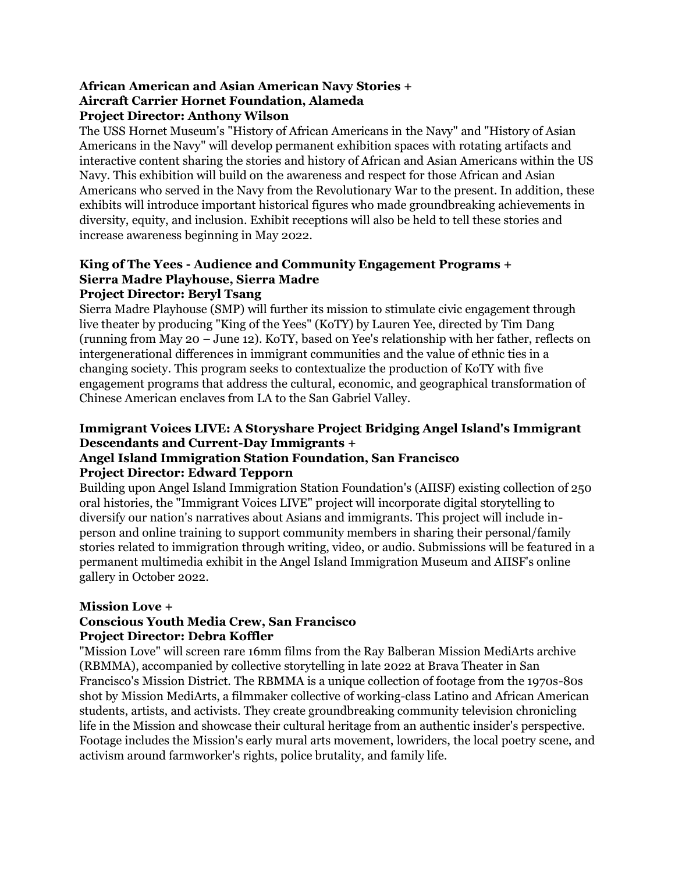# **African American and Asian American Navy Stories + Aircraft Carrier Hornet Foundation, Alameda Project Director: Anthony Wilson**

The USS Hornet Museum's "History of African Americans in the Navy" and "History of Asian Americans in the Navy" will develop permanent exhibition spaces with rotating artifacts and interactive content sharing the stories and history of African and Asian Americans within the US Navy. This exhibition will build on the awareness and respect for those African and Asian Americans who served in the Navy from the Revolutionary War to the present. In addition, these exhibits will introduce important historical figures who made groundbreaking achievements in diversity, equity, and inclusion. Exhibit receptions will also be held to tell these stories and increase awareness beginning in May 2022.

#### **King of The Yees - Audience and Community Engagement Programs + Sierra Madre Playhouse, Sierra Madre Project Director: Beryl Tsang**

Sierra Madre Playhouse (SMP) will further its mission to stimulate civic engagement through live theater by producing "King of the Yees" (KoTY) by Lauren Yee, directed by Tim Dang (running from May 20 – June 12). KoTY, based on Yee's relationship with her father, reflects on intergenerational differences in immigrant communities and the value of ethnic ties in a changing society. This program seeks to contextualize the production of KoTY with five engagement programs that address the cultural, economic, and geographical transformation of Chinese American enclaves from LA to the San Gabriel Valley.

# **Immigrant Voices LIVE: A Storyshare Project Bridging Angel Island's Immigrant Descendants and Current-Day Immigrants +**

# **Angel Island Immigration Station Foundation, San Francisco Project Director: Edward Tepporn**

Building upon Angel Island Immigration Station Foundation's (AIISF) existing collection of 250 oral histories, the "Immigrant Voices LIVE" project will incorporate digital storytelling to diversify our nation's narratives about Asians and immigrants. This project will include inperson and online training to support community members in sharing their personal/family stories related to immigration through writing, video, or audio. Submissions will be featured in a permanent multimedia exhibit in the Angel Island Immigration Museum and AIISF's online gallery in October 2022.

# **Mission Love +**

# **Conscious Youth Media Crew, San Francisco Project Director: Debra Koffler**

"Mission Love" will screen rare 16mm films from the Ray Balberan Mission MediArts archive (RBMMA), accompanied by collective storytelling in late 2022 at Brava Theater in San Francisco's Mission District. The RBMMA is a unique collection of footage from the 1970s-80s shot by Mission MediArts, a filmmaker collective of working-class Latino and African American students, artists, and activists. They create groundbreaking community television chronicling life in the Mission and showcase their cultural heritage from an authentic insider's perspective. Footage includes the Mission's early mural arts movement, lowriders, the local poetry scene, and activism around farmworker's rights, police brutality, and family life.